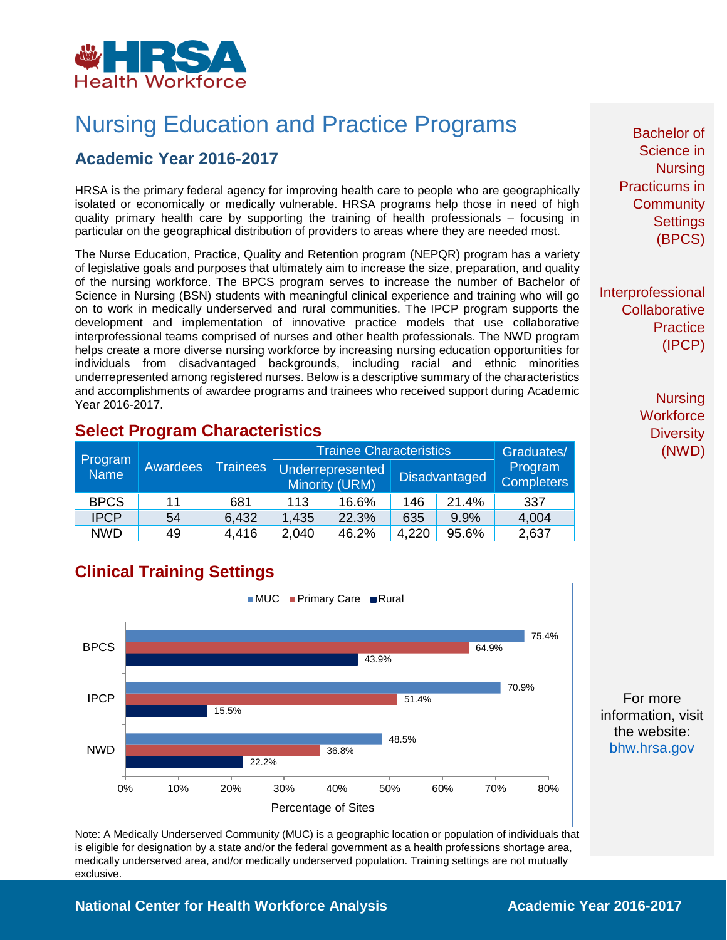

## Nursing Education and Practice Programs

## **Academic Year 2016-2017**

HRSA is the primary federal agency for improving health care to people who are geographically isolated or economically or medically vulnerable. HRSA programs help those in need of high quality primary health care by supporting the training of health professionals – focusing in particular on the geographical distribution of providers to areas where they are needed most.

The Nurse Education, Practice, Quality and Retention program (NEPQR) program has a variety of legislative goals and purposes that ultimately aim to increase the size, preparation, and quality of the nursing workforce. The BPCS program serves to increase the number of Bachelor of Science in Nursing (BSN) students with meaningful clinical experience and training who will go on to work in medically underserved and rural communities. The IPCP program supports the development and implementation of innovative practice models that use collaborative interprofessional teams comprised of nurses and other health professionals. The NWD program helps create a more diverse nursing workforce by increasing nursing education opportunities for individuals from disadvantaged backgrounds, including racial and ethnic minorities underrepresented among registered nurses. Below is a descriptive summary of the characteristics and accomplishments of awardee programs and trainees who received support during Academic Year 2016-2017.

|                        | Awardees | <b>Trainees</b> | <b>Trainee Characteristics</b> |                                    |       |                                                      | Graduates/ |
|------------------------|----------|-----------------|--------------------------------|------------------------------------|-------|------------------------------------------------------|------------|
| Program<br><b>Name</b> |          |                 |                                | Underrepresented<br>Minority (URM) |       | Program<br><b>Disadvantaged</b><br><b>Completers</b> |            |
| <b>BPCS</b>            | 11       | 681             | 113                            | 16.6%                              | 146   | 21.4%                                                | 337        |
| <b>IPCP</b>            | 54       | 6,432           | 1,435                          | 22.3%                              | 635   | 9.9%                                                 | 4,004      |
| <b>NWD</b>             | 49       | 4.416           | 2,040                          | 46.2%                              | 4,220 | 95.6%                                                | 2,637      |

### **Select Program Characteristics**

## **Clinical Training Settings**



Note: A Medically Underserved Community (MUC) is a geographic location or population of individuals that is eligible for designation by a state and/or the federal government as a health professions shortage area, medically underserved area, and/or medically underserved population. Training settings are not mutually exclusive.

Bachelor of Science in **Nursing** Practicums in **Community Settings** (BPCS)

Interprofessional **Collaborative Practice** (IPCP)

> **Nursing Workforce Diversity** (NWD)

For more information, visit the website: [bhw.hrsa.gov](http://bhw.hrsa.gov/)

#### **National Center for Health Workforce Analysis Mational Center 2016-2017**